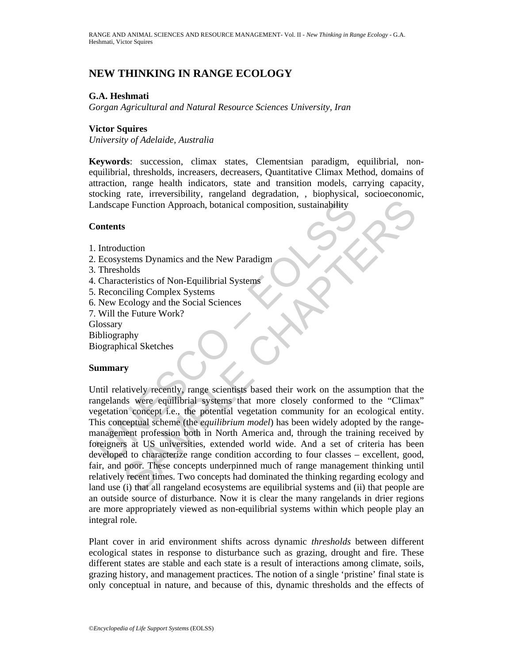## **NEW THINKING IN RANGE ECOLOGY**

## **G.A. Heshmati**

*Gorgan Agricultural and Natural Resource Sciences University, Iran* 

## **Victor Squires**

*University of Adelaide, Australia* 

**Keywords**: succession, climax states, Clementsian paradigm, equilibrial, nonequilibrial, thresholds, increasers, decreasers, Quantitative Climax Method, domains of attraction, range health indicators, state and transition models, carrying capacity, stocking rate, irreversibility, rangeland degradation, , biophysical, socioeconomic, Landscape Function Approach, botanical composition, sustainability

## **Contents**

- 1. Introduction
- 2. Ecosystems Dynamics and the New Paradigm
- 3. Thresholds
- 4. Characteristics of Non-Equilibrial Systems
- 5. Reconciling Complex Systems
- 6. New Ecology and the Social Sciences
- 7. Will the Future Work?

**Glossary** 

- Bibliography
- Biographical Sketches

## **Summary**

andscape Function Approach, botanical composition, sustainability<br>
"
iontents<br>
"
Introduction<br>
I. Introduction<br>
I. Thresholds<br>
"
Characteristics of Non-Equilibrial Systems<br>
Reconciling Complex Systems<br>
New Ecology and the The Secure of the Meridian Composition, sustainability<br>
Securition<br>
Securition<br>
Securition<br>
Securition<br>
Coology and the New Paradigm<br>
Coology and the Systems<br>
Coology and the Social Sciences<br>
Future Work?<br>
The Coology and Until relatively recently, range scientists based their work on the assumption that the rangelands were equilibrial systems that more closely conformed to the "Climax" vegetation concept i.e., the potential vegetation community for an ecological entity. This conceptual scheme (the *equilibrium model*) has been widely adopted by the rangemanagement profession both in North America and, through the training received by foreigners at US universities, extended world wide. And a set of criteria has been developed to characterize range condition according to four classes – excellent, good, fair, and poor. These concepts underpinned much of range management thinking until relatively recent times. Two concepts had dominated the thinking regarding ecology and land use (i) that all rangeland ecosystems are equilibrial systems and (ii) that people are an outside source of disturbance. Now it is clear the many rangelands in drier regions are more appropriately viewed as non-equilibrial systems within which people play an integral role.

Plant cover in arid environment shifts across dynamic *thresholds* between different ecological states in response to disturbance such as grazing, drought and fire. These different states are stable and each state is a result of interactions among climate, soils, grazing history, and management practices. The notion of a single 'pristine' final state is only conceptual in nature, and because of this, dynamic thresholds and the effects of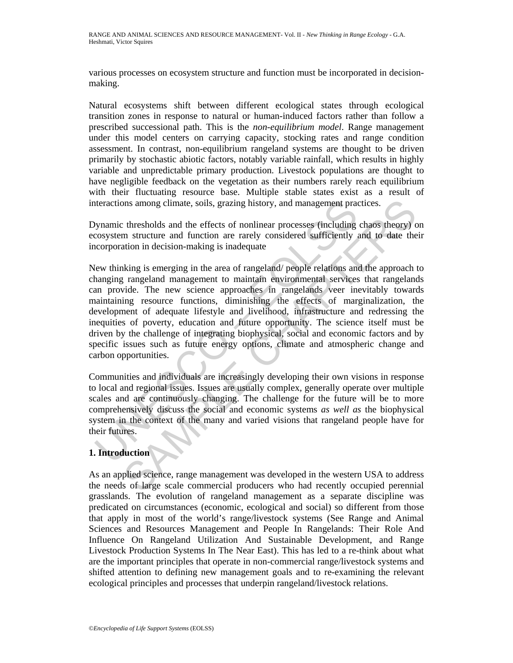various processes on ecosystem structure and function must be incorporated in decisionmaking.

Natural ecosystems shift between different ecological states through ecological transition zones in response to natural or human-induced factors rather than follow a prescribed successional path. This is the *non-equilibrium model*. Range management under this model centers on carrying capacity, stocking rates and range condition assessment. In contrast, non-equilibrium rangeland systems are thought to be driven primarily by stochastic abiotic factors, notably variable rainfall, which results in highly variable and unpredictable primary production. Livestock populations are thought to have negligible feedback on the vegetation as their numbers rarely reach equilibrium with their fluctuating resource base. Multiple stable states exist as a result of interactions among climate, soils, grazing history, and management practices.

Dynamic thresholds and the effects of nonlinear processes (including chaos theory) on ecosystem structure and function are rarely considered sufficiently and to date their incorporation in decision-making is inadequate

teractions among climate, soils, grazing history, and management practions among climate, soils, grazing history, and management praction system structure and function are rarely considered sufficiently accorporation in de ons among climate, soils, grazing history, and management practices.<br>
thresholds and the effects of nonlinear processes (including chaos theory) on<br>
in structure and function are rarely considered sufficiently and to date New thinking is emerging in the area of rangeland/ people relations and the approach to changing rangeland management to maintain environmental services that rangelands can provide. The new science approaches in rangelands veer inevitably towards maintaining resource functions, diminishing the effects of marginalization, the development of adequate lifestyle and livelihood, infrastructure and redressing the inequities of poverty, education and future opportunity. The science itself must be driven by the challenge of integrating biophysical, social and economic factors and by specific issues such as future energy options, climate and atmospheric change and carbon opportunities.

Communities and individuals are increasingly developing their own visions in response to local and regional issues. Issues are usually complex, generally operate over multiple scales and are continuously changing. The challenge for the future will be to more comprehensively discuss the social and economic systems *as well as* the biophysical system in the context of the many and varied visions that rangeland people have for their futures.

## **1. Introduction**

As an applied science, range management was developed in the western USA to address the needs of large scale commercial producers who had recently occupied perennial grasslands. The evolution of rangeland management as a separate discipline was predicated on circumstances (economic, ecological and social) so different from those that apply in most of the world's range/livestock systems (See Range and Animal Sciences and Resources Management and People In Rangelands: Their Role And Influence On Rangeland Utilization And Sustainable Development, and Range Livestock Production Systems In The Near East). This has led to a re-think about what are the important principles that operate in non-commercial range/livestock systems and shifted attention to defining new management goals and to re-examining the relevant ecological principles and processes that underpin rangeland/livestock relations.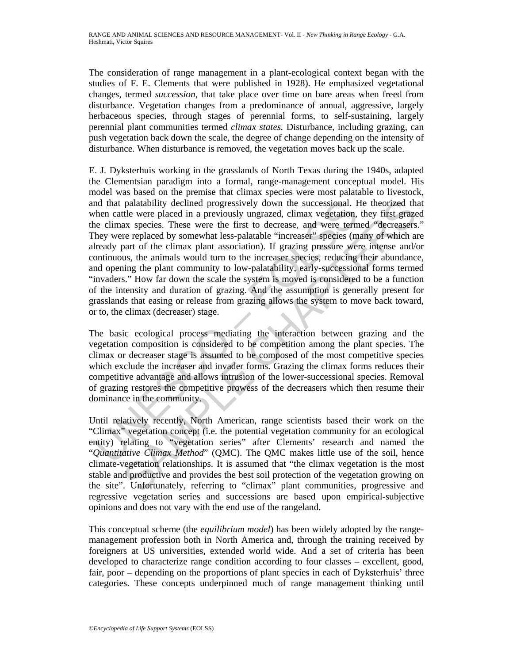The consideration of range management in a plant-ecological context began with the studies of F. E. Clements that were published in 1928). He emphasized vegetational changes, termed *succession*, that take place over time on bare areas when freed from disturbance. Vegetation changes from a predominance of annual, aggressive, largely herbaceous species, through stages of perennial forms, to self-sustaining, largely perennial plant communities termed *climax states.* Disturbance, including grazing, can push vegetation back down the scale, the degree of change depending on the intensity of disturbance. When disturbance is removed, the vegetation moves back up the scale.

nd that palatability declined progressively down the successional. Hen cattle were placed in a previously ungrazed, climax vegetation, ee climax species. These were the first to decrease, and were term then be were term fi palatability declined progressively down the successional. He theorized thre<br>
ack wave placed in a previously ungrazed, climax vegetation, they first graze<br>
ax species. These were the first to decrease, and were termed "de E. J. Dyksterhuis working in the grasslands of North Texas during the 1940s, adapted the Clementsian paradigm into a formal, range-management conceptual model. His model was based on the premise that climax species were most palatable to livestock, and that palatability declined progressively down the successional. He theorized that when cattle were placed in a previously ungrazed, climax vegetation, they first grazed the climax species. These were the first to decrease, and were termed "decreasers." They were replaced by somewhat less-palatable "increaser" species (many of which are already part of the climax plant association). If grazing pressure were intense and/or continuous, the animals would turn to the increaser species, reducing their abundance, and opening the plant community to low-palatability, early-successional forms termed "invaders." How far down the scale the system is moved is considered to be a function of the intensity and duration of grazing. And the assumption is generally present for grasslands that easing or release from grazing allows the system to move back toward, or to, the climax (decreaser) stage.

The basic ecological process mediating the interaction between grazing and the vegetation composition is considered to be competition among the plant species. The climax or decreaser stage is assumed to be composed of the most competitive species which exclude the increaser and invader forms. Grazing the climax forms reduces their competitive advantage and allows intrusion of the lower-successional species. Removal of grazing restores the competitive prowess of the decreasers which then resume their dominance in the community.

Until relatively recently, North American, range scientists based their work on the "Climax" vegetation concept (i.e. the potential vegetation community for an ecological entity) relating to "vegetation series" after Clements' research and named the "*Quantitative Climax Method*" (QMC). The QMC makes little use of the soil, hence climate-vegetation relationships. It is assumed that "the climax vegetation is the most stable and productive and provides the best soil protection of the vegetation growing on the site". Unfortunately, referring to "climax" plant communities, progressive and regressive vegetation series and successions are based upon empirical-subjective opinions and does not vary with the end use of the rangeland.

This conceptual scheme (the *equilibrium model*) has been widely adopted by the rangemanagement profession both in North America and, through the training received by foreigners at US universities, extended world wide. And a set of criteria has been developed to characterize range condition according to four classes – excellent, good, fair, poor – depending on the proportions of plant species in each of Dyksterhuis' three categories. These concepts underpinned much of range management thinking until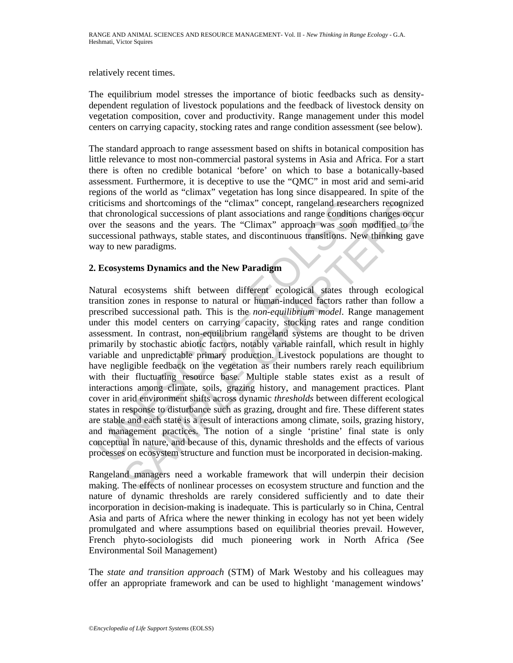#### relatively recent times.

The equilibrium model stresses the importance of biotic feedbacks such as densitydependent regulation of livestock populations and the feedback of livestock density on vegetation composition, cover and productivity. Range management under this model centers on carrying capacity, stocking rates and range condition assessment (see below).

The standard approach to range assessment based on shifts in botanical composition has little relevance to most non-commercial pastoral systems in Asia and Africa. For a start there is often no credible botanical 'before' on which to base a botanically-based assessment. Furthermore, it is deceptive to use the "QMC" in most arid and semi-arid regions of the world as "climax" vegetation has long since disappeared. In spite of the criticisms and shortcomings of the "climax" concept, rangeland researchers recognized that chronological successions of plant associations and range conditions changes occur over the seasons and the years. The "Climax" approach was soon modified to the successional pathways, stable states, and discontinuous transitions. New thinking gave way to new paradigms.

## **2. Ecosystems Dynamics and the New Paradigm**

riticisms and shortcomings of the "climax" concept, rangeland resear<br>at chronological successions of plant associations and range conditio<br>at chronological successions of plant associations and range conditio<br>accessional p s and shortcomings of the "climax" concept, rangeland researchers recognize<br>nological successions of plant associations and range conditions changes occusions<br>accessions of plant associations and range conditions changes o Natural ecosystems shift between different ecological states through ecological transition zones in response to natural or human-induced factors rather than follow a prescribed successional path. This is the *non-equilibrium model*. Range management under this model centers on carrying capacity, stocking rates and range condition assessment. In contrast, non-equilibrium rangeland systems are thought to be driven primarily by stochastic abiotic factors, notably variable rainfall, which result in highly variable and unpredictable primary production. Livestock populations are thought to have negligible feedback on the vegetation as their numbers rarely reach equilibrium with their fluctuating resource base. Multiple stable states exist as a result of interactions among climate, soils, grazing history, and management practices. Plant cover in arid environment shifts across dynamic *thresholds* between different ecological states in response to disturbance such as grazing, drought and fire. These different states are stable and each state is a result of interactions among climate, soils, grazing history, and management practices. The notion of a single 'pristine' final state is only conceptual in nature, and because of this, dynamic thresholds and the effects of various processes on ecosystem structure and function must be incorporated in decision-making.

Rangeland managers need a workable framework that will underpin their decision making. The effects of nonlinear processes on ecosystem structure and function and the nature of dynamic thresholds are rarely considered sufficiently and to date their incorporation in decision-making is inadequate. This is particularly so in China, Central Asia and parts of Africa where the newer thinking in ecology has not yet been widely promulgated and where assumptions based on equilibrial theories prevail. However, French phyto-sociologists did much pioneering work in North Africa *(*See Environmental Soil Management)

The *state and transition approach* (STM) of Mark Westoby and his colleagues may offer an appropriate framework and can be used to highlight 'management windows'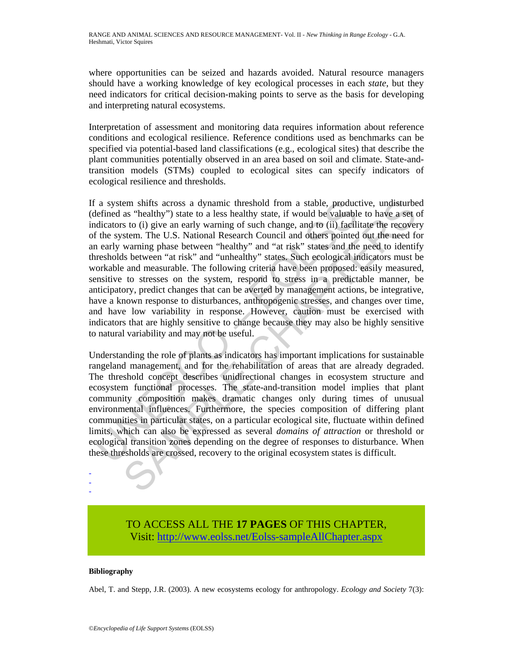where opportunities can be seized and hazards avoided. Natural resource managers should have a working knowledge of key ecological processes in each *state*, but they need indicators for critical decision-making points to serve as the basis for developing and interpreting natural ecosystems.

Interpretation of assessment and monitoring data requires information about reference conditions and ecological resilience. Reference conditions used as benchmarks can be specified via potential-based land classifications (e.g., ecological sites) that describe the plant communities potentially observed in an area based on soil and climate. State-andtransition models (STMs) coupled to ecological sites can specify indicators of ecological resilience and thresholds.

i a system shifts across a dynamic threshold from a stable, producterined as "healthy") state to a less healthy state, if would be valuable<br>diciators to (i) give an early warning of such change, and to (ii) facilial<br>diciat em shifts across a dynamic threshold from a stable, productive, undisturbe as "nealthy") state to a less healthy stat, if would be valuable to have a set of the stable, productive is to (i) give an early warning of such ch If a system shifts across a dynamic threshold from a stable, productive, undisturbed (defined as "healthy") state to a less healthy state, if would be valuable to have a set of indicators to (i) give an early warning of such change, and to (ii) facilitate the recovery of the system. The U.S. National Research Council and others pointed out the need for an early warning phase between "healthy" and "at risk" states and the need to identify thresholds between "at risk" and "unhealthy" states. Such ecological indicators must be workable and measurable. The following criteria have been proposed: easily measured, sensitive to stresses on the system, respond to stress in a predictable manner, be anticipatory, predict changes that can be averted by management actions, be integrative, have a known response to disturbances, anthropogenic stresses, and changes over time, and have low variability in response. However, caution must be exercised with indicators that are highly sensitive to change because they may also be highly sensitive to natural variability and may not be useful.

Understanding the role of plants as indicators has important implications for sustainable rangeland management, and for the rehabilitation of areas that are already degraded. The threshold concept describes unidirectional changes in ecosystem structure and ecosystem functional processes. The state-and-transition model implies that plant community composition makes dramatic changes only during times of unusual environmental influences. Furthermore, the species composition of differing plant communities in particular states, on a particular ecological site, fluctuate within defined limits, which can also be expressed as several *domains of attraction* or threshold or ecological transition zones depending on the degree of responses to disturbance. When these thresholds are crossed, recovery to the original ecosystem states is difficult.

# TO ACCESS ALL THE **17 PAGES** OF THIS CHAPTER, Visit[: http://www.eolss.net/Eolss-sampleAllChapter.aspx](https://www.eolss.net/ebooklib/sc_cart.aspx?File=E5-35-28)

### **Bibliography**

- - -

Abel, T. and Stepp, J.R. (2003). A new ecosystems ecology for anthropology. *Ecology and Society* 7(3):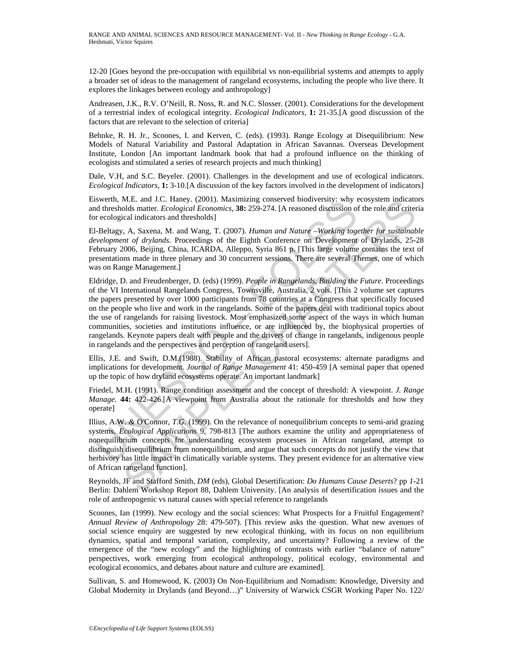12-20 [Goes beyond the pre-occupation with equilibrial vs non-equilibrial systems and attempts to apply a broader set of ideas to the management of rangeland ecosystems, including the people who live there. It explores the linkages between ecology and anthropology]

Andreasen, J.K., R.V. O'Neill, R. Noss, R. and N.C. Slosser. (2001). Considerations for the development of a terrestrial index of ecological integrity. *Ecological Indicators,* **1:** 21-35.[A good discussion of the factors that are relevant to the selection of criteria]

Behnke, R. H. Jr., Scoones, I. and Kerven, C. (eds). (1993). Range Ecology at Disequilibrium: New Models of Natural Variability and Pastoral Adaptation in African Savannas. Overseas Development Institute, London [An important landmark book that had a profound influence on the thinking of ecologists and stimulated a series of research projects and much thinking]

Dale, V.H, and S.C. Beyeler. (2001). Challenges in the development and use of ecological indicators. *Ecological Indicators*, **1:** 3-10.[A discussion of the key factors involved in the development of indicators]

Eiswerth, M.E. and J.C. Haney. (2001). Maximizing conserved biodiversity: why ecosystem indicators and thresholds matter. *Ecological Economics,* **38:** 259-274. [A reasoned discussion of the role and criteria for ecological indicators and thresholds]

El-Beltagy, A, Saxena, M. and Wang, T. (2007). *Human and Nature –Working together for sustainable development of drylands.* Proceedings of the Eighth Conference on Development of Drylands, 25-28 February 2006, Beijing, China, ICARDA, Alleppo, Syria 861 p. [This large volume contains the text of presentations made in three plenary and 30 concurrent sessions. There are several Themes, one of which was on Range Management.]

swertn, M.E. and J.C. rianey. (2001). Maximizing conservere broadversity: way<br>dd diresholds matter. *Ecological Economics*, 38: 259-274. [A reasoned diseassion of<br>recological indicators and thresholds]<br>
1-Beltagy, A, Saxen M.E. and J.C. Hansey. (2001). Maximizing conserved biodiversity: why ecosystem indicator<br>Mols matter. *Ecological Economics*, 38: 259-274. [A reasoned discussion of the role and critical<br>ricel and articles. The Maxima, T. Eldridge, D. and Freudenberger, D. (eds) (1999). *People in Rangelands, Building the Future*. Proceedings of the VI International Rangelands Congress, Townsville, Australia, 2 vols. [This 2 volume set captures the papers presented by over 1000 participants from 78 countries at a Congress that specifically focused on the people who live and work in the rangelands. Some of the papers deal with traditional topics about the use of rangelands for raising livestock. Most emphasized some aspect of the ways in which human communities, societies and institutions influence, or are influenced by, the biophysical properties of rangelands. Keynote papers dealt with people and the drivers of change in rangelands, indigenous people in rangelands and the perspectives and perception of rangeland users].

Ellis, J.E. and Swift, D.M.(1988). Stability of African pastoral ecosystems: alternate paradigms and implications for development. *Journal of Range Management* 41: 450-459 [A seminal paper that opened up the topic of how dryland ecosystems operate. An important landmark]

Friedel, M.H. (1991). Range condition assessment and the concept of threshold: A viewpoint. *J. Range Manage.* **44:** 422-426.[A viewpoint from Australia about the rationale for thresholds and how they operate]

Illius*,* A.W. *&* O*'*Connor, *T.G.* (1999). On the relevance of nonequilibrium concepts to semi-arid grazing systems. *Ecological Applications* 9, 798-813 [The authors examine the utility and appropriateness of nonequilibrium concepts for understanding ecosystem processes in African rangeland, attempt to distinguish disequilibrium from nonequilibrium, and argue that such concepts do not justify the view that herbivory has little impact in climatically variable systems. They present evidence for an alternative view of African rangeland function].

Reynolds, JF and Stafford Smith, *DM* (eds), Global Desertification: *Do Humans Cause Deserts*? pp *1*-21 Berlin: Dahlem Workshop Report 88, Dahlem University. [An analysis of desertification issues and the role of anthropogenic vs natural causes with special reference to rangelands

Scoones, Ian (1999). New ecology and the social sciences: What Prospects for a Fruitful Engagement? *Annual Review of Anthropology* 28: 479-507). [This review asks the question. What new avenues of social science enquiry are suggested by new ecological thinking, with its focus on non equilibrium dynamics, spatial and temporal variation, complexity, and uncertainty? Following a review of the emergence of the "new ecology" and the highlighting of contrasts with earlier "balance of nature" perspectives, work emerging from ecological anthropology, political ecology, environmental and ecological economics, and debates about nature and culture are examined].

Sullivan, S. and Homewood, K. (2003) On Non-Equilibrium and Nomadism: Knowledge, Diversity and Global Modernity in Drylands (and Beyond…)" University of Warwick CSGR Working Paper No. 122/